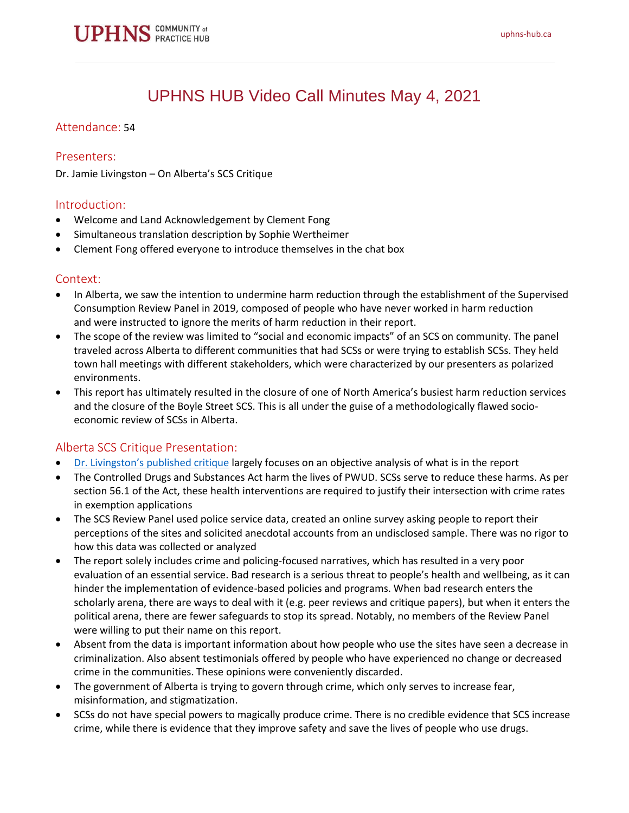# UPHNS HUB Video Call Minutes May 4, 2021

## Attendance: 54

#### Presenters:

Dr. Jamie Livingston – On Alberta's SCS Critique

#### Introduction:

- Welcome and Land Acknowledgement by Clement Fong
- Simultaneous translation description by Sophie Wertheimer
- Clement Fong offered everyone to introduce themselves in the chat box

#### Context:

- In Alberta, we saw the intention to undermine harm reduction through the establishment of the Supervised Consumption Review Panel in 2019, composed of people who have never worked in harm reduction and were instructed to ignore the merits of harm reduction in their report.
- The scope of the review was limited to "social and economic impacts" of an SCS on community. The panel traveled across Alberta to different communities that had SCSs or were trying to establish SCSs. They held town hall meetings with different stakeholders, which were characterized by our presenters as polarized environments.
- This report has ultimately resulted in the closure of one of North America's busiest harm reduction services and the closure of the Boyle Street SCS. This is all under the guise of a methodologically flawed socioeconomic review of SCSs in Alberta.

# Alberta SCS Critique Presentation:

- Dr. Livingston's [published critique](https://harmreductionjournal.biomedcentral.com/articles/10.1186/s12954-020-00456-2) largely focuses on an objective analysis of what is in the report
- The Controlled Drugs and Substances Act harm the lives of PWUD. SCSs serve to reduce these harms. As per section 56.1 of the Act, these health interventions are required to justify their intersection with crime rates in exemption applications
- The SCS Review Panel used police service data, created an online survey asking people to report their perceptions of the sites and solicited anecdotal accounts from an undisclosed sample. There was no rigor to how this data was collected or analyzed
- The report solely includes crime and policing-focused narratives, which has resulted in a very poor evaluation of an essential service. Bad research is a serious threat to people's health and wellbeing, as it can hinder the implementation of evidence-based policies and programs. When bad research enters the scholarly arena, there are ways to deal with it (e.g. peer reviews and critique papers), but when it enters the political arena, there are fewer safeguards to stop its spread. Notably, no members of the Review Panel were willing to put their name on this report.
- Absent from the data is important information about how people who use the sites have seen a decrease in criminalization. Also absent testimonials offered by people who have experienced no change or decreased crime in the communities. These opinions were conveniently discarded.
- The government of Alberta is trying to govern through crime, which only serves to increase fear, misinformation, and stigmatization.
- SCSs do not have special powers to magically produce crime. There is no credible evidence that SCS increase crime, while there is evidence that they improve safety and save the lives of people who use drugs.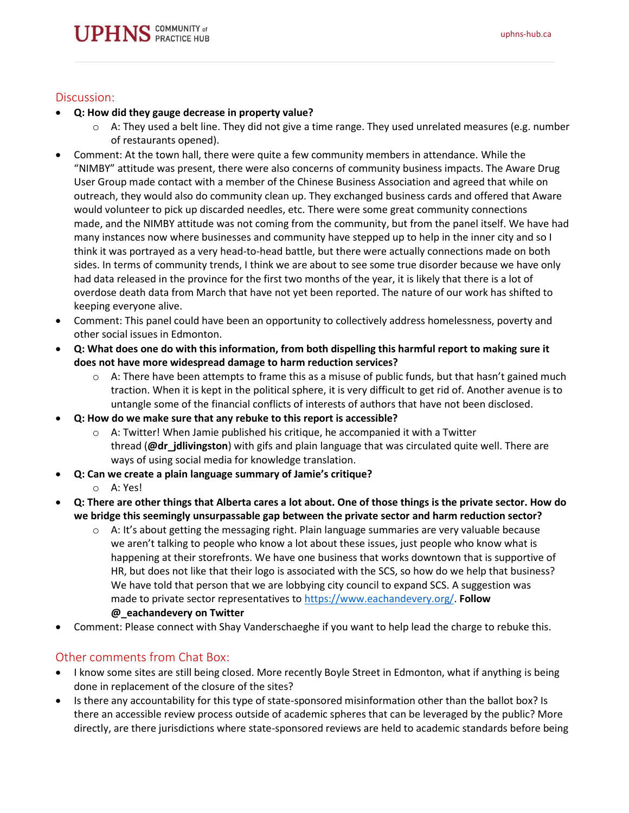## Discussion:

- **Q: How did they gauge decrease in property value?**
	- $\circ$  A: They used a belt line. They did not give a time range. They used unrelated measures (e.g. number of restaurants opened).
- Comment: At the town hall, there were quite a few community members in attendance. While the "NIMBY" attitude was present, there were also concerns of community business impacts. The Aware Drug User Group made contact with a member of the Chinese Business Association and agreed that while on outreach, they would also do community clean up. They exchanged business cards and offered that Aware would volunteer to pick up discarded needles, etc. There were some great community connections made, and the NIMBY attitude was not coming from the community, but from the panel itself. We have had many instances now where businesses and community have stepped up to help in the inner city and so I think it was portrayed as a very head-to-head battle, but there were actually connections made on both sides. In terms of community trends, I think we are about to see some true disorder because we have only had data released in the province for the first two months of the year, it is likely that there is a lot of overdose death data from March that have not yet been reported. The nature of our work has shifted to keeping everyone alive.
- Comment: This panel could have been an opportunity to collectively address homelessness, poverty and other social issues in Edmonton.
- **Q: What does one do with this information, from both dispelling this harmful report to making sure it does not have more widespread damage to harm reduction services?**
	- $\circ$  A: There have been attempts to frame this as a misuse of public funds, but that hasn't gained much traction. When it is kept in the political sphere, it is very difficult to get rid of. Another avenue is to untangle some of the financial conflicts of interests of authors that have not been disclosed.
- **Q: How do we make sure that any rebuke to this report is accessible?**
	- $\circ$  A: Twitter! When Jamie published his critique, he accompanied it with a Twitter thread (**@dr\_jdlivingston**) with gifs and plain language that was circulated quite well. There are ways of using social media for knowledge translation.
- **Q: Can we create a plain language summary of Jamie's critique?**
	- o A: Yes!
- **Q: There are other things that Alberta cares a lot about. One of those things is the private sector. How do we bridge this seemingly unsurpassable gap between the private sector and harm reduction sector?**
	- $\circ$  A: It's about getting the messaging right. Plain language summaries are very valuable because we aren't talking to people who know a lot about these issues, just people who know what is happening at their storefronts. We have one business that works downtown that is supportive of HR, but does not like that their logo is associated with the SCS, so how do we help that business? We have told that person that we are lobbying city council to expand SCS. A suggestion was made to private sector representatives to [https://www.eachandevery.org/.](https://www.eachandevery.org/) **Follow @\_eachandevery on Twitter**
- Comment: Please connect with Shay Vanderschaeghe if you want to help lead the charge to rebuke this.

# Other comments from Chat Box:

- I know some sites are still being closed. More recently Boyle Street in Edmonton, what if anything is being done in replacement of the closure of the sites?
- Is there any accountability for this type of state-sponsored misinformation other than the ballot box? Is there an accessible review process outside of academic spheres that can be leveraged by the public? More directly, are there jurisdictions where state-sponsored reviews are held to academic standards before being